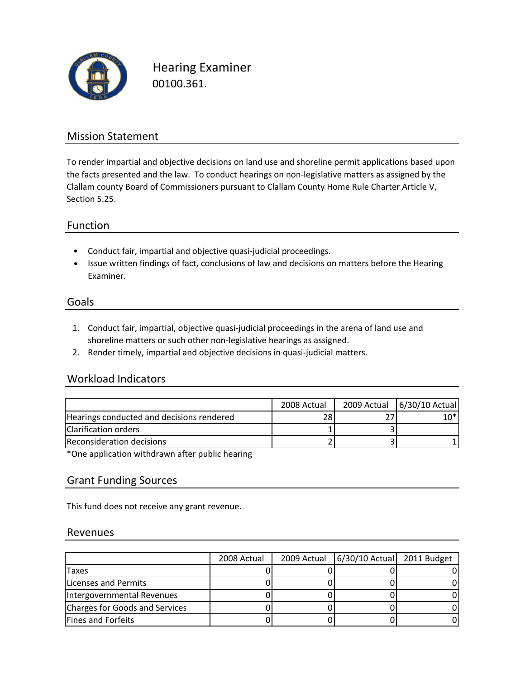

Hearing Examiner 00100.361.

### Mission Statement

To render impartial and objective decisions on land use and shoreline permit applications based upon the facts presented and the law. To conduct hearings on non-legislative matters as assigned by the Clallam county Board of Commissioners pursuant to Clallam County Home Rule Charter Article V, Section 5.25.

#### Function

- Conduct fair, impartial and objective quasi‐judicial proceedings.
- Issue written findings of fact, conclusions of law and decisions on matters before the Hearing Examiner.

#### Goals

- 1. Conduct fair, impartial, objective quasi‐judicial proceedings in the arena of land use and shoreline matters or such other non-legislative hearings as assigned.
- 2. Render timely, impartial and objective decisions in quasi‐judicial matters.

#### Workload Indicators

|                                           | 2008 Actual | 2009 Actual 6/30/10 Actual |
|-------------------------------------------|-------------|----------------------------|
| Hearings conducted and decisions rendered |             | $10*$                      |
| Clarification orders                      |             |                            |
| Reconsideration decisions                 |             |                            |

\*One application withdrawn after public hearing

#### Grant Funding Sources

This fund does not receive any grant revenue.

#### Revenues

|                                | 2008 Actual | 2009 Actual | $ 6/30/10$ Actual 2011 Budget |  |
|--------------------------------|-------------|-------------|-------------------------------|--|
| Taxes                          |             |             |                               |  |
| <b>Licenses and Permits</b>    |             |             |                               |  |
| Intergovernmental Revenues     |             |             |                               |  |
| Charges for Goods and Services |             |             |                               |  |
| <b>Fines and Forfeits</b>      |             |             |                               |  |